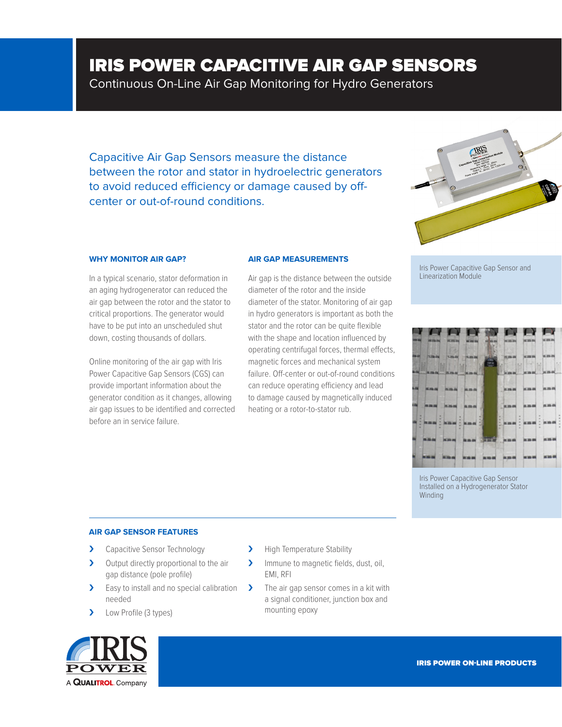# IRIS POWER CAPACITIVE AIR GAP SENSORS

Continuous On-Line Air Gap Monitoring for Hydro Generators

Capacitive Air Gap Sensors measure the distance between the rotor and stator in hydroelectric generators to avoid reduced efficiency or damage caused by offcenter or out-of-round conditions.



#### **WHY MONITOR AIR GAP?**

In a typical scenario, stator deformation in an aging hydrogenerator can reduced the air gap between the rotor and the stator to critical proportions. The generator would have to be put into an unscheduled shut down, costing thousands of dollars.

Online monitoring of the air gap with Iris Power Capacitive Gap Sensors (CGS) can provide important information about the generator condition as it changes, allowing air gap issues to be identified and corrected before an in service failure.

#### **AIR GAP MEASUREMENTS**

Air gap is the distance between the outside diameter of the rotor and the inside diameter of the stator. Monitoring of air gap in hydro generators is important as both the stator and the rotor can be quite flexible with the shape and location influenced by operating centrifugal forces, thermal effects, magnetic forces and mechanical system failure. Off-center or out-of-round conditions can reduce operating efficiency and lead to damage caused by magnetically induced heating or a rotor-to-stator rub.

Iris Power Capacitive Gap Sensor and Linearization Module



Iris Power Capacitive Gap Sensor Installed on a Hydrogenerator Stator **Winding** 

## **AIR GAP SENSOR FEATURES**

- > Capacitive Sensor Technology
- **>** Output directly proportional to the air gap distance (pole profile)
- > Easy to install and no special calibration needed
- Low Profile (3 types)
- > High Temperature Stability
- > Immune to magnetic fields, dust, oil, EMI, RFI
- > The air gap sensor comes in a kit with a signal conditioner, junction box and mounting epoxy